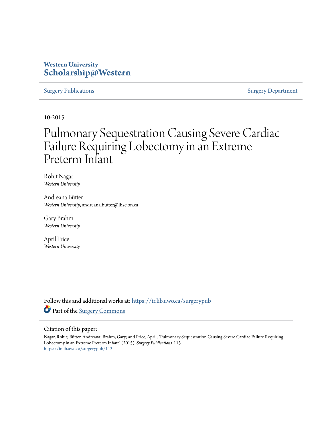## **Western University [Scholarship@Western](https://ir.lib.uwo.ca?utm_source=ir.lib.uwo.ca%2Fsurgerypub%2F113&utm_medium=PDF&utm_campaign=PDFCoverPages)**

### [Surgery Publications](https://ir.lib.uwo.ca/surgerypub?utm_source=ir.lib.uwo.ca%2Fsurgerypub%2F113&utm_medium=PDF&utm_campaign=PDFCoverPages) [Surgery Department](https://ir.lib.uwo.ca/surgery?utm_source=ir.lib.uwo.ca%2Fsurgerypub%2F113&utm_medium=PDF&utm_campaign=PDFCoverPages)

10-2015

# Pulmonary Sequestration Causing Severe Cardiac Failure Requiring Lobectomy in an Extreme Preterm Infant

Rohit Nagar *Western University*

Andreana Bütter *Western University*, andreana.butter@lhsc.on.ca

Gary Brahm *Western University*

April Price *Western University*

Follow this and additional works at: [https://ir.lib.uwo.ca/surgerypub](https://ir.lib.uwo.ca/surgerypub?utm_source=ir.lib.uwo.ca%2Fsurgerypub%2F113&utm_medium=PDF&utm_campaign=PDFCoverPages) Part of the [Surgery Commons](http://network.bepress.com/hgg/discipline/706?utm_source=ir.lib.uwo.ca%2Fsurgerypub%2F113&utm_medium=PDF&utm_campaign=PDFCoverPages)

### Citation of this paper:

Nagar, Rohit; Bütter, Andreana; Brahm, Gary; and Price, April, "Pulmonary Sequestration Causing Severe Cardiac Failure Requiring Lobectomy in an Extreme Preterm Infant" (2015). *Surgery Publications*. 113. [https://ir.lib.uwo.ca/surgerypub/113](https://ir.lib.uwo.ca/surgerypub/113?utm_source=ir.lib.uwo.ca%2Fsurgerypub%2F113&utm_medium=PDF&utm_campaign=PDFCoverPages)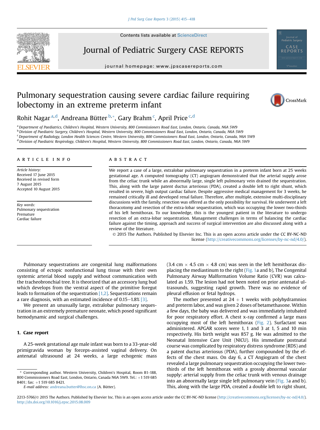

**Contents lists available at ScienceDirect** 

## Journal of Pediatric Surgery CASE REPORTS

journal homepage: [www.jpscasereports.com](http://www.jpscasereports.com)



### Pulmonary sequestration causing severe cardiac failure requiring lobectomy in an extreme preterm infant

Rohit Nagar<sup>a,d</sup>, Andreana Bütter<sup>b,</sup>\*, Gary Brahm<sup>c</sup>, April Price<sup>c,d</sup>

<sup>a</sup> Department of Paediatrics, Children's Hospital, Western University, 800 Commissioners Road East, London, Ontario, Canada, N6A 5W9

<sup>b</sup> Division of Paediatric Surgery, Children's Hospital, Western University, 800 Commissioners Road East, London, Ontario, Canada, N6A 5W9

 $c$  Department of Radiology, London Health Sciences Centre, Western University, 800 Commissioners Road East, London, Ontario, Canada, N6A 5W9

<sup>d</sup> Division of Paediatric Respirology, Children's Hospital, Western University, 800 Commissioners Road East, London, Ontario, Canada, N6A 5W9

#### article info

Article history: Received 17 June 2015 Received in revised form 7 August 2015 Accepted 10 August 2015

Key words: Pulmonary sequestration Premature Cardiac failure

#### **ABSTRACT**

We report a case of a large, extralobar pulmonary sequestration in a preterm infant born at 25 weeks gestational age. A computed tomography (CT) angiogram demonstrated that the arterial supply arose from the celiac trunk while an abnormally large, single left pulmonary vein drained the sequestration. This, along with the large patent ductus arteriosus (PDA), created a double left to right shunt, which resulted in severe, high output cardiac failure. Despite aggressive medical management for 3 weeks, he remained critically ill and developed renal failure. Therefore, after multiple, extensive multi-disciplinary discussions with the family, resection was offered as the only possibility for survival. He underwent a left thoracotomy and resection of the extra-lobar sequestration, which was occupying the lower two-thirds of his left hemithorax. To our knowledge, this is the youngest patient in the literature to undergo resection of an extra-lobar sequestration. Management challenges in terms of balancing the cardiac failure against the timing, approach and success of surgical intervention are also discussed along with a review of the literature.

 2015 The Authors. Published by Elsevier Inc. This is an open access article under the CC BY-NC-ND license ([http://creativecommons.org/licenses/by-nc-nd/4.0/\)](http://creativecommons.org/licenses/by-nc-nd/4.�0/).

Pulmonary sequestrations are congenital lung malformations consisting of ectopic nonfunctional lung tissue with their own systemic arterial blood supply and without communication with the tracheobronchial tree. It is theorized that an accessory lung bud which develops from the ventral aspect of the primitive foregut leads to formation of the sequestration  $[1,2]$ . Sequestrations remain a rare diagnosis, with an estimated incidence of  $0.15-1.8\%$  [\[3\]](#page-4-0).

We present an unusually large, extralobar pulmonary sequestration in an extremely premature neonate, which posed significant hemodynamic and surgical challenges.

### 1. Case report

A 25-week gestational age male infant was born to a 33-year-old primigravida woman by forceps-assisted vaginal delivery. On antenatal ultrasound at 24 weeks, a large echogenic mass  $(3.4 \text{ cm} \times 4.5 \text{ cm} \times 4.8 \text{ cm})$  was seen in the left hemithorax displacing the mediastinum to the right ([Fig. 1a](#page-2-0) and b), The Congenital Pulmonary Airway Malformation Volume Ratio (CVR) was calculated as 1.59. The lesion had not been noted on prior antenatal ultrasounds, suggesting rapid growth. There was no evidence of pleural effusion or fetal hydrops.

The mother presented at  $24 + 1$  weeks with polyhydramnios and preterm labor, and was given 2 doses of betamethasone. Within a few days, the baby was delivered and was immediately intubated for poor respiratory effort. A chest x-ray confirmed a large mass occupying most of the left hemithorax [\(Fig. 2](#page-2-0)). Surfactant was administered. APGAR scores were 1, 1 and 3 at 1, 5 and 10 min respectively. His birth weight was 857 g. He was admitted to the Neonatal Intensive Care Unit (NICU). His immediate postnatal course was complicated by respiratory distress syndrome (RDS) and a patent ductus arteriosus (PDA), further compounded by the effects of the chest mass. On day 6, a CT Angiogram of the chest revealed a large pulmonary sequestration occupying the lower twothirds of the left hemithorax with a grossly abnormal vascular supply: arterial supply from the celiac trunk with venous drainage into an abnormally large single left pulmonary vein ([Fig. 3a](#page-3-0) and b). This, along with the large PDA, created a double left to right shunt,

<sup>\*</sup> Corresponding author. Western University, Children's Hospital, Room B1-188, 800 Commissioners Road East, London, Ontario, Canada N6A 5W9, Tel.:  $+1$  519 685 8401; fax: +1 519 685 8421.

E-mail address: [andreana.butter@lhsc.on.ca](mailto:andreana.butter@lhsc.on.ca) (A. Bütter).

<sup>2213-5766/© 2015</sup> The Authors. Published by Elsevier Inc. This is an open access article under the CC BY-NC-ND license ([http://creativecommons.org/licenses/by-nc-nd/4.0/](http://creativecommons.org/licenses/by-nc-nd/4.�0/)). <http://dx.doi.org/10.1016/j.epsc.2015.08.009>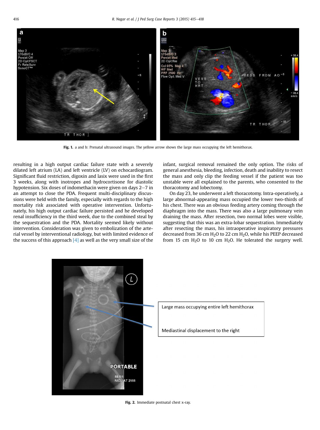<span id="page-2-0"></span>

Fig. 1. a and b: Prenatal ultrasound images. The yellow arrow shows the large mass occupying the left hemithorax.

resulting in a high output cardiac failure state with a severely dilated left atrium (LA) and left ventricle (LV) on echocardiogram. Significant fluid restriction, digoxin and lasix were used in the first 3 weeks, along with inotropes and hydrocortisone for diastolic hypotension. Six doses of indomethacin were given on days  $2-7$  in an attempt to close the PDA. Frequent multi-disciplinary discussions were held with the family, especially with regards to the high mortality risk associated with operative intervention. Unfortunately, his high output cardiac failure persisted and he developed renal insufficiency in the third week, due to the combined steal by the sequestration and the PDA. Mortality seemed likely without intervention. Consideration was given to embolization of the arterial vessel by interventional radiology, but with limited evidence of the success of this approach  $[4]$  as well as the very small size of the

infant, surgical removal remained the only option. The risks of general anesthesia, bleeding, infection, death and inability to resect the mass and only clip the feeding vessel if the patient was too unstable were all explained to the parents, who consented to the thoracotomy and lobectomy.

On day 23, he underwent a left thoracotomy. Intra-operatively, a large abnormal-appearing mass occupied the lower two-thirds of his chest. There was an obvious feeding artery coming through the diaphragm into the mass. There was also a large pulmonary vein draining the mass. After resection, two normal lobes were visible, suggesting that this was an extra-lobar sequestration. Immediately after resecting the mass, his intraoperative inspiratory pressures decreased from 36 cm  $H<sub>2</sub>O$  to 22 cm  $H<sub>2</sub>O$ , while his PEEP decreased from 15 cm  $H_2O$  to 10 cm  $H_2O$ . He tolerated the surgery well.



Fig. 2. Immediate postnatal chest x-ray.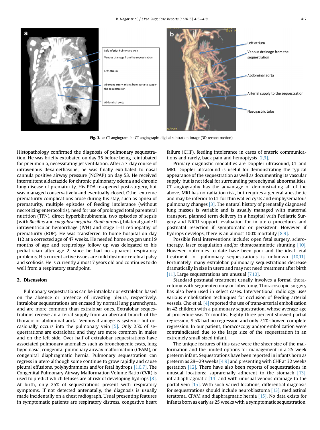<span id="page-3-0"></span>

Fig. 3. a: CT angiogram. b: CT angiograph: digital subtration image (3D reconstruction).

Histopathology confirmed the diagnosis of pulmonary sequestration. He was briefly extubated on day 35 before being reintubated for pneumonia, necessitating jet ventilation. After a 7-day course of intravenous dexamethasone, he was finally extubated to nasal cannula positive airway pressure (NCPAP) on day 53. He received intermittent aldactazide for chronic pulmonary edema and chronic lung disease of prematurity. His PDA re-opened post-surgery, but was managed conservatively and eventually closed. Other extreme prematurity complications arose during his stay, such as apnea of prematurity, multiple episodes of feeding intolerance (without necrotizing enterocolitis), need for use of prolonged total parenteral nutrition (TPN), direct hyperbilirubinemia, two episodes of sepsis (with Bacillus and coagulase negative Staph aureus), bilateral grade II intraventricular hemorrhage (IVH) and stage I-II retinopathy of prematurity (ROP). He was transferred to home hospital on day 112 at a corrected age of 47 weeks. He needed home oxygen until 9 months of age and respirology follow up was delegated to his pediatrician after age 2, since he had no apparent respiratory problems. His current active issues are mild dystonic cerebral palsy and scoliosis. He is currently almost 7 years old and continues to do well from a respiratory standpoint.

Pulmonary sequestrations can be intralobar or extralobar, based on the absence or presence of investing pleura, respectively. Intralobar sequestrations are encased by normal lung parenchyma, and are more common than extralobar ones. Extralobar sequestrations receive an arterial supply from an aberrant branch of the thoracic or abdominal aorta. Venous drainage is systemic but occasionally occurs into the pulmonary vein  $[5]$ . Only 25% of sequestrations are extralobar, and they are more common in males and on the left side. Over half of extralobar sequestrations have associated pulmonary anomalies such as bronchogenic cysts, lung hypoplasia, congenital pulmonary airway malformation (CPAM), or congenital diaphragmatic hernia. Pulmonary sequestration can regress in utero although some continue to grow rapidly and cause pleural effusions, polyhydramnios and/or fetal hydrops [\[1,6,7\]](#page-4-0). The Congenital Pulmonary Airway Malformation Volume Ratio (CVR) is used to predict which fetuses are at risk of developing hydrops  $[8]$ . At birth, only 25% of sequestrations present with respiratory symptoms. If not detected antenatally, the diagnosis is usually made incidentally on a chest radiograph. Usual presenting features in symptomatic patients are respiratory distress, congestive heart

failure (CHF), feeding intolerance in cases of enteric communications and rarely, back pain and hemoptysis [\[2,3\].](#page-4-0)

Primary diagnostic modalities are Doppler ultrasound, CT and MRI. Doppler ultrasound is useful for demonstrating the typical appearance of the sequestration as well as documenting its vascular supply, but is not ideal for surrounding parenchymal abnormalities. CT angiography has the advantage of demonstrating all of the above. MRI has no radiation risk, but requires a general anesthetic and may be inferior to CT for thin walled cysts and emphysematous pulmonary changes [\[3\].](#page-4-0) The natural history of prenatally diagnosed lung masses is variable and is usually managed with maternal transport, planned term delivery in a hospital with Pediatric Surgery and NICU support, evaluation for in utero procedures and postnatal resection if symptomatic or persistent. However, if hydrops develops, there is an almost 100% mortality [\[8,9\]](#page-4-0).

Possible fetal interventions include: open fetal surgery, sclerotherapy, laser coagulation and/or thoracoamniotic shunting [\[10\]](#page-4-0). However, outcomes to date have been poor and the ideal fetal treatment for pulmonary sequestrations is unknown [\[10,11\]](#page-4-0). Fortunately, many extralobar pulmonary sequestrations decrease dramatically in size in utero and may not need treatment after birth [\[11\].](#page-4-0) Large sequestrations are unusual [\[7,10\]](#page-4-0).

Standard postnatal treatment usually involves a formal thoracotomy with segmentectomy or lobectomy. Thoracoscopic surgery has also been used in select cases. Interventional radiology uses various embolization techniques for occlusion of feeding arterial vessels. Cho et al.  $\left[4\right]$  reported the use of trans-arterial embolization in 42 children with a pulmonary sequestration, whose average age at procedure was 17 months. Eighty-three percent showed partial regression, 9.5% had no regression and only 7.1% showed complete regression. In our patient, thoracoscopy and/or embolization were contraindicated due to the large size of the sequestration in an extremely small sized infant.

The unique features of this case were the sheer size of the malformation and the limited options for management in a 25-week preterm infant. Sequestrations have been reported in infants born as preterm as  $28-29$  weeks [\[4,9\]](#page-4-0) and presenting with CHF at 32 weeks gestation [\[12\]](#page-4-0). There have also been reports of sequestrations in unusual locations: suprarenally adherent to the stomach [\[13\]](#page-4-0), infradiaphragmatic [\[14\]](#page-4-0) and with unusual venous drainage to the portal vein [\[15\].](#page-4-0) With such varied locations, differential diagnosis for sequestrations should include neuroblastoma [\[13\]](#page-4-0), mediastinal teratoma, CPAM and diaphragmatic hernia [\[15\]](#page-4-0). No data exists for infants born as early as 25 weeks with a symptomatic sequestration.